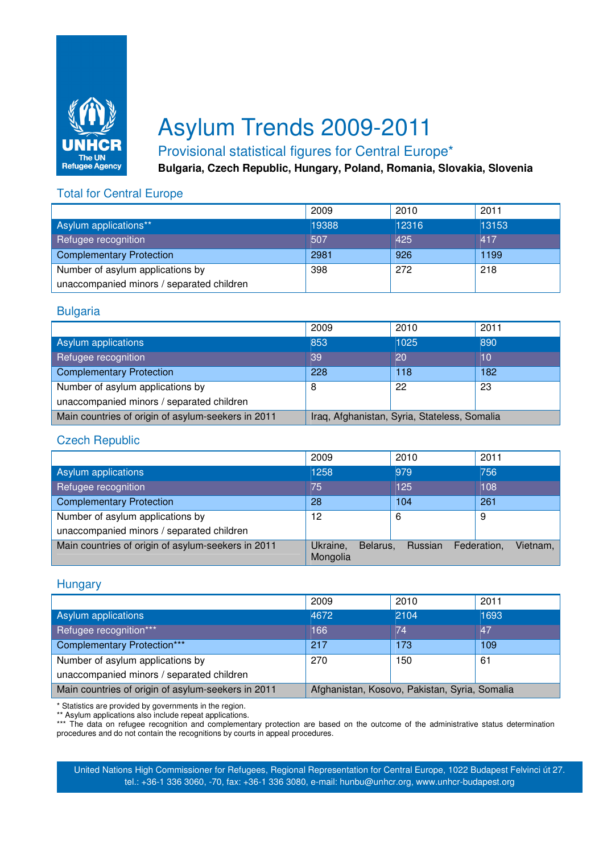

# Asylum Trends 2009-2011

# Provisional statistical figures for Central Europe\*

**Bulgaria, Czech Republic, Hungary, Poland, Romania, Slovakia, Slovenia**

# Total for Central Europe

|                                           | 2009  | 2010  | 2011  |
|-------------------------------------------|-------|-------|-------|
| Asylum applications**                     | 19388 | 12316 | 13153 |
| Refugee recognition                       | 507   | 425   | 417   |
| <b>Complementary Protection</b>           | 2981  | 926   | 1199  |
| Number of asylum applications by          | 398   | 272   | 218   |
| unaccompanied minors / separated children |       |       |       |

### Bulgaria

|                                                    | 2009                                         | 2010 | 2011 |
|----------------------------------------------------|----------------------------------------------|------|------|
| Asylum applications                                | 853                                          | 1025 | 890  |
| Refugee recognition                                | 39                                           | 20   | 10   |
| <b>Complementary Protection</b>                    | 228                                          | 118  | 182  |
| Number of asylum applications by                   | 8                                            | 22   | 23   |
| unaccompanied minors / separated children          |                                              |      |      |
| Main countries of origin of asylum-seekers in 2011 | Iraq, Afghanistan, Syria, Stateless, Somalia |      |      |

#### Czech Republic

|                                                    | 2009                             | 2010           | 2011                    |
|----------------------------------------------------|----------------------------------|----------------|-------------------------|
| Asylum applications                                | 1258                             | 979            | 756                     |
| Refugee recognition                                | 75                               | 125            | 108                     |
| <b>Complementary Protection</b>                    | 28                               | 104            | 261                     |
| Number of asylum applications by                   | 12                               | 6              | 9                       |
| unaccompanied minors / separated children          |                                  |                |                         |
| Main countries of origin of asylum-seekers in 2011 | Ukraine,<br>Belarus.<br>Mongolia | <b>Russian</b> | Vietnam,<br>Federation, |

#### **Hungary**

|                                                    | 2009                                          | 2010 | 2011 |
|----------------------------------------------------|-----------------------------------------------|------|------|
| Asylum applications                                | 4672                                          | 2104 | 1693 |
| Refugee recognition***                             | 166                                           | 74   | 47   |
| <b>Complementary Protection***</b>                 | 217                                           | 173  | 109  |
| Number of asylum applications by                   | 270                                           | 150  | 61   |
| unaccompanied minors / separated children          |                                               |      |      |
| Main countries of origin of asylum-seekers in 2011 | Afghanistan, Kosovo, Pakistan, Syria, Somalia |      |      |

\* Statistics are provided by governments in the region.

\*\* Asylum applications also include repeat applications.

\*\*\* The data on refugee recognition and complementary protection are based on the outcome of the administrative status determination procedures and do not contain the recognitions by courts in appeal procedures.

United Nations High Commissioner for Refugees, Regional Representation for Central Europe, 1022 Budapest Felvinci út 27. tel.: +36-1 336 3060, -70, fax: +36-1 336 3080, e-mail: hunbu@unhcr.org, www.unhcr-budapest.org